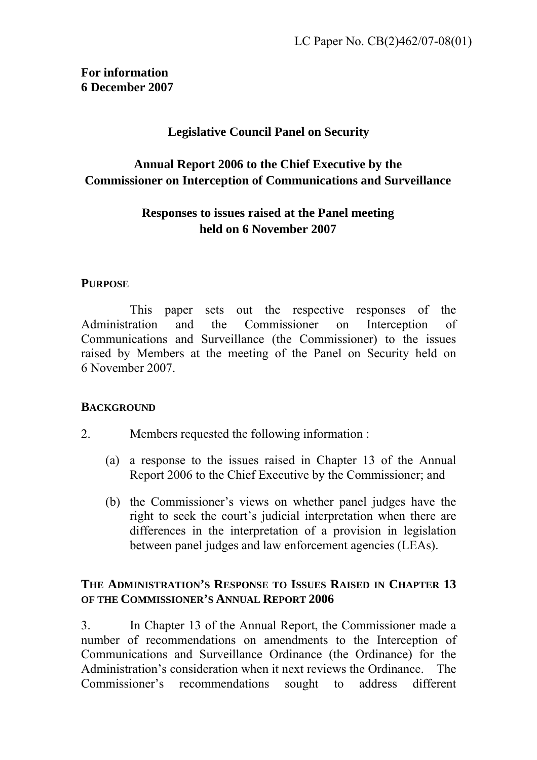### **For information 6 December 2007**

### **Legislative Council Panel on Security**

# **Annual Report 2006 to the Chief Executive by the Commissioner on Interception of Communications and Surveillance**

## **Responses to issues raised at the Panel meeting held on 6 November 2007**

#### **PURPOSE**

1. This paper sets out the respective responses of the Administration and the Commissioner on Interception of Communications and Surveillance (the Commissioner) to the issues raised by Members at the meeting of the Panel on Security held on 6 November 2007.

### **BACKGROUND**

- 2. Members requested the following information :
	- (a) a response to the issues raised in Chapter 13 of the Annual Report 2006 to the Chief Executive by the Commissioner; and
	- (b) the Commissioner's views on whether panel judges have the right to seek the court's judicial interpretation when there are differences in the interpretation of a provision in legislation between panel judges and law enforcement agencies (LEAs).

#### **THE ADMINISTRATION'S RESPONSE TO ISSUES RAISED IN CHAPTER 13 OF THE COMMISSIONER'S ANNUAL REPORT 2006**

3. In Chapter 13 of the Annual Report, the Commissioner made a number of recommendations on amendments to the Interception of Communications and Surveillance Ordinance (the Ordinance) for the Administration's consideration when it next reviews the Ordinance. The Commissioner's recommendations sought to address different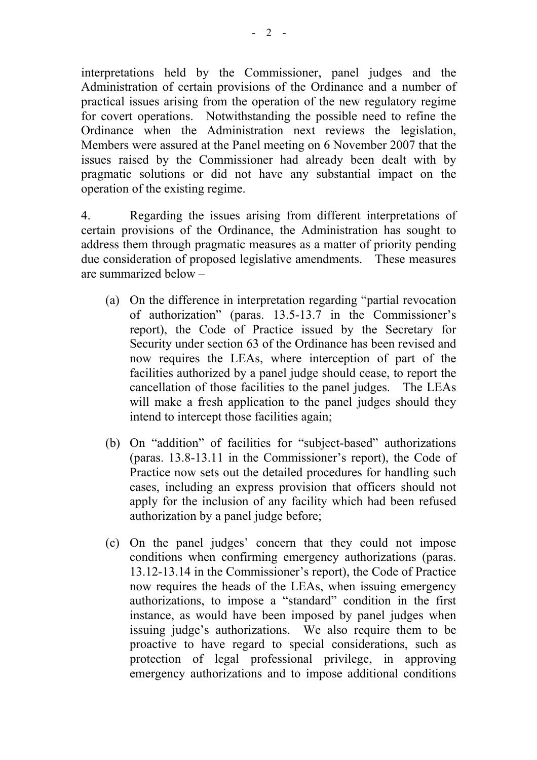interpretations held by the Commissioner, panel judges and the Administration of certain provisions of the Ordinance and a number of practical issues arising from the operation of the new regulatory regime for covert operations. Notwithstanding the possible need to refine the Ordinance when the Administration next reviews the legislation, Members were assured at the Panel meeting on 6 November 2007 that the issues raised by the Commissioner had already been dealt with by pragmatic solutions or did not have any substantial impact on the operation of the existing regime.

4. Regarding the issues arising from different interpretations of certain provisions of the Ordinance, the Administration has sought to address them through pragmatic measures as a matter of priority pending due consideration of proposed legislative amendments. These measures are summarized below –

- (a) On the difference in interpretation regarding "partial revocation of authorization" (paras. 13.5-13.7 in the Commissioner's report), the Code of Practice issued by the Secretary for Security under section 63 of the Ordinance has been revised and now requires the LEAs, where interception of part of the facilities authorized by a panel judge should cease, to report the cancellation of those facilities to the panel judges. The LEAs will make a fresh application to the panel judges should they intend to intercept those facilities again;
- (b) On "addition" of facilities for "subject-based" authorizations (paras. 13.8-13.11 in the Commissioner's report), the Code of Practice now sets out the detailed procedures for handling such cases, including an express provision that officers should not apply for the inclusion of any facility which had been refused authorization by a panel judge before;
- (c) On the panel judges' concern that they could not impose conditions when confirming emergency authorizations (paras. 13.12-13.14 in the Commissioner's report), the Code of Practice now requires the heads of the LEAs, when issuing emergency authorizations, to impose a "standard" condition in the first instance, as would have been imposed by panel judges when issuing judge's authorizations. We also require them to be proactive to have regard to special considerations, such as protection of legal professional privilege, in approving emergency authorizations and to impose additional conditions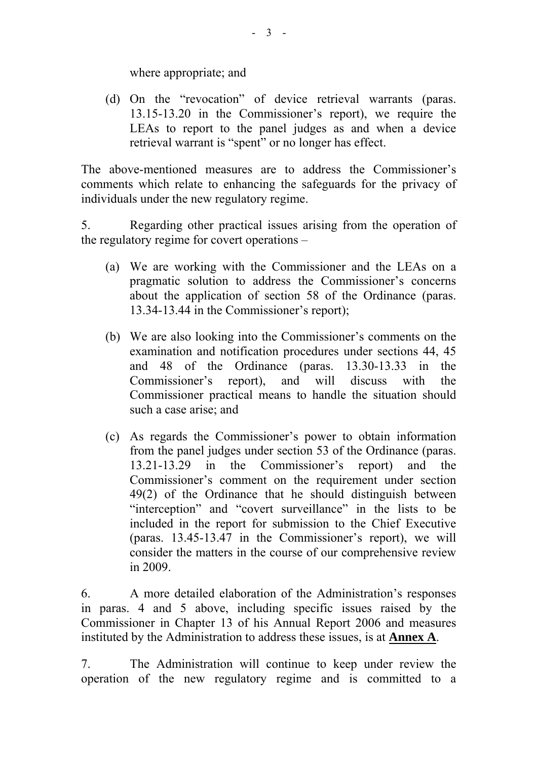where appropriate; and

(d) On the "revocation" of device retrieval warrants (paras. 13.15-13.20 in the Commissioner's report), we require the LEAs to report to the panel judges as and when a device retrieval warrant is "spent" or no longer has effect.

The above-mentioned measures are to address the Commissioner's comments which relate to enhancing the safeguards for the privacy of individuals under the new regulatory regime.

5. Regarding other practical issues arising from the operation of the regulatory regime for covert operations –

- (a) We are working with the Commissioner and the LEAs on a pragmatic solution to address the Commissioner's concerns about the application of section 58 of the Ordinance (paras. 13.34-13.44 in the Commissioner's report);
- (b) We are also looking into the Commissioner's comments on the examination and notification procedures under sections 44, 45 and 48 of the Ordinance (paras. 13.30-13.33 in the Commissioner's report), and will discuss with the Commissioner practical means to handle the situation should such a case arise; and
- (c) As regards the Commissioner's power to obtain information from the panel judges under section 53 of the Ordinance (paras. 13.21-13.29 in the Commissioner's report) and the Commissioner's comment on the requirement under section 49(2) of the Ordinance that he should distinguish between "interception" and "covert surveillance" in the lists to be included in the report for submission to the Chief Executive (paras. 13.45-13.47 in the Commissioner's report), we will consider the matters in the course of our comprehensive review in 2009.

6. A more detailed elaboration of the Administration's responses in paras. 4 and 5 above, including specific issues raised by the Commissioner in Chapter 13 of his Annual Report 2006 and measures instituted by the Administration to address these issues, is at **Annex A**.

7. The Administration will continue to keep under review the operation of the new regulatory regime and is committed to a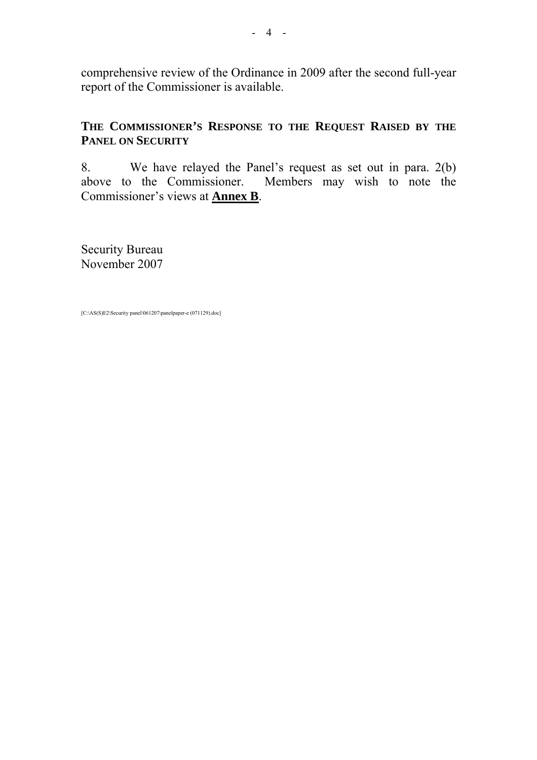comprehensive review of the Ordinance in 2009 after the second full-year report of the Commissioner is available.

### **THE COMMISSIONER'S RESPONSE TO THE REQUEST RAISED BY THE PANEL ON SECURITY**

8. We have relayed the Panel's request as set out in para. 2(b) above to the Commissioner. Members may wish to note the Commissioner's views at **Annex B**.

Security Bureau November 2007

[C:\AS(S)E2\Security panel\061207\panelpaper-e (071129).doc]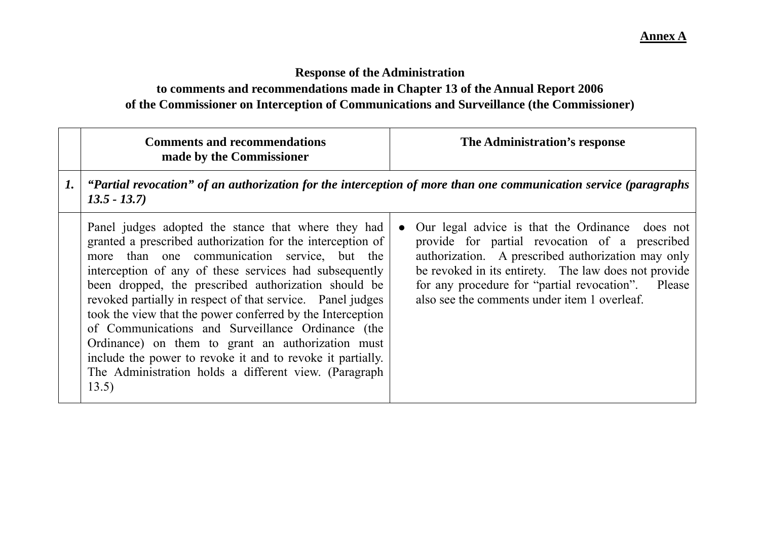# **Response of the Administration to comments and recommendations made in Chapter 13 of the Annual Report 2006 of the Commissioner on Interception of Communications and Surveillance (the Commissioner)**

|                    | <b>Comments and recommendations</b><br>made by the Commissioner                                                                                                                                                                                                                                                                                                                                                                                                                                                                                                                                                                                           | The Administration's response                                                                                                                                                                                                                                                                                                      |
|--------------------|-----------------------------------------------------------------------------------------------------------------------------------------------------------------------------------------------------------------------------------------------------------------------------------------------------------------------------------------------------------------------------------------------------------------------------------------------------------------------------------------------------------------------------------------------------------------------------------------------------------------------------------------------------------|------------------------------------------------------------------------------------------------------------------------------------------------------------------------------------------------------------------------------------------------------------------------------------------------------------------------------------|
| $\boldsymbol{1}$ . | $\vert$ "Partial revocation" of an authorization for the interception of more than one communication service (paragraphs<br>$13.5 - 13.7$                                                                                                                                                                                                                                                                                                                                                                                                                                                                                                                 |                                                                                                                                                                                                                                                                                                                                    |
|                    | Panel judges adopted the stance that where they had<br>granted a prescribed authorization for the interception of<br>more than one communication service, but the<br>interception of any of these services had subsequently<br>been dropped, the prescribed authorization should be<br>revoked partially in respect of that service. Panel judges<br>took the view that the power conferred by the Interception<br>of Communications and Surveillance Ordinance (the<br>Ordinance) on them to grant an authorization must<br>include the power to revoke it and to revoke it partially.<br>The Administration holds a different view. (Paragraph<br>13.5) | Our legal advice is that the Ordinance does not<br>$\bullet$<br>provide for partial revocation of a prescribed<br>authorization. A prescribed authorization may only<br>be revoked in its entirety. The law does not provide<br>for any procedure for "partial revocation". Please<br>also see the comments under item 1 overleaf. |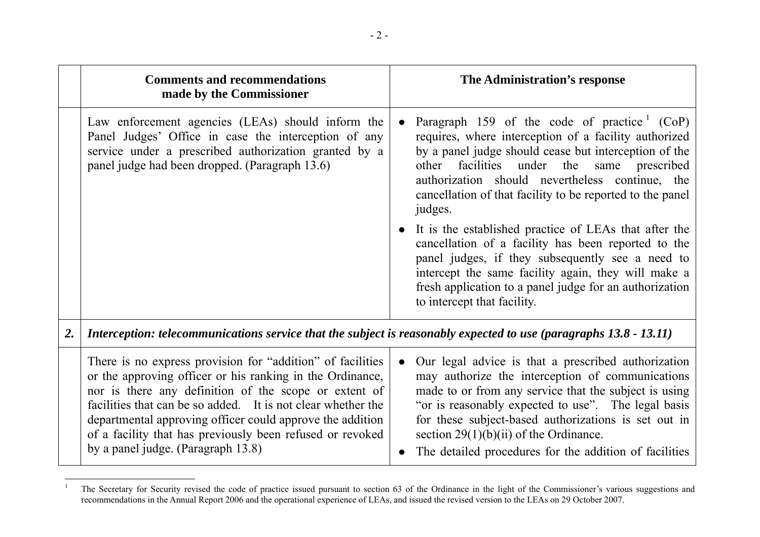|    | <b>Comments and recommendations</b><br>made by the Commissioner                                                                                                                                                                                                                                                                                                                                                  |           | The Administration's response                                                                                                                                                                                                                                                                                                                                                         |
|----|------------------------------------------------------------------------------------------------------------------------------------------------------------------------------------------------------------------------------------------------------------------------------------------------------------------------------------------------------------------------------------------------------------------|-----------|---------------------------------------------------------------------------------------------------------------------------------------------------------------------------------------------------------------------------------------------------------------------------------------------------------------------------------------------------------------------------------------|
|    | Law enforcement agencies (LEAs) should inform the<br>Panel Judges' Office in case the interception of any<br>service under a prescribed authorization granted by a<br>panel judge had been dropped. (Paragraph 13.6)                                                                                                                                                                                             | $\bullet$ | Paragraph 159 of the code of practice $(CoP)$<br>requires, where interception of a facility authorized<br>by a panel judge should cease but interception of the<br>facilities under the<br>same<br>prescribed<br>other<br>authorization should nevertheless continue, the<br>cancellation of that facility to be reported to the panel<br>judges.                                     |
|    |                                                                                                                                                                                                                                                                                                                                                                                                                  |           | It is the established practice of LEAs that after the<br>cancellation of a facility has been reported to the<br>panel judges, if they subsequently see a need to<br>intercept the same facility again, they will make a<br>fresh application to a panel judge for an authorization<br>to intercept that facility.                                                                     |
| 2. | Interception: telecommunications service that the subject is reasonably expected to use (paragraphs 13.8 - 13.11)                                                                                                                                                                                                                                                                                                |           |                                                                                                                                                                                                                                                                                                                                                                                       |
|    | There is no express provision for "addition" of facilities<br>or the approving officer or his ranking in the Ordinance,<br>nor is there any definition of the scope or extent of<br>facilities that can be so added. It is not clear whether the<br>departmental approving officer could approve the addition<br>of a facility that has previously been refused or revoked<br>by a panel judge. (Paragraph 13.8) | $\bullet$ | Our legal advice is that a prescribed authorization<br>may authorize the interception of communications<br>made to or from any service that the subject is using<br>"or is reasonably expected to use". The legal basis<br>for these subject-based authorizations is set out in<br>section $29(1)(b)(ii)$ of the Ordinance.<br>The detailed procedures for the addition of facilities |

<sup>&</sup>lt;sup>1</sup> The Secretary for Security revised the code of practice issued pursuant to section 63 of the Ordinance in the light of the Commissioner's various suggestions and recommendations in the Annual Report 2006 and the operational experience of LEAs, and issued the revised version to the LEAs on 29 October 2007.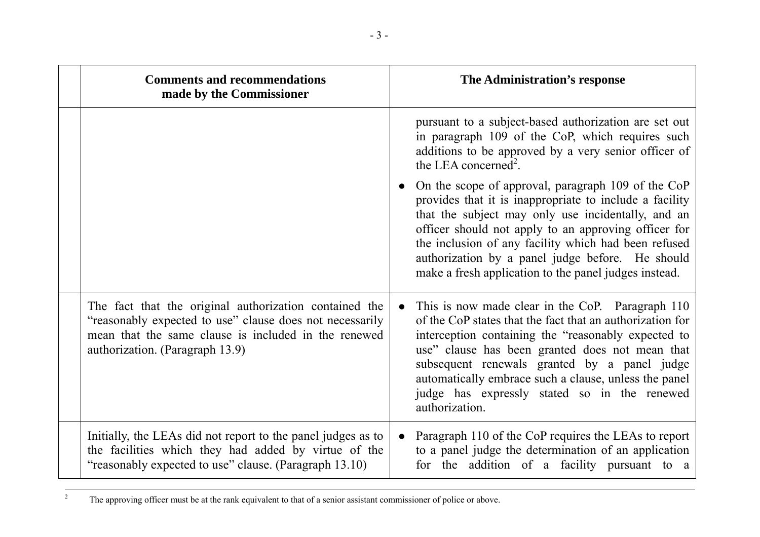| <b>Comments and recommendations</b><br>made by the Commissioner                                                                                                                                               | The Administration's response                                                                                                                                                                                                                                                                                                                                                                                   |
|---------------------------------------------------------------------------------------------------------------------------------------------------------------------------------------------------------------|-----------------------------------------------------------------------------------------------------------------------------------------------------------------------------------------------------------------------------------------------------------------------------------------------------------------------------------------------------------------------------------------------------------------|
|                                                                                                                                                                                                               | pursuant to a subject-based authorization are set out<br>in paragraph 109 of the CoP, which requires such<br>additions to be approved by a very senior officer of<br>the LEA concerned <sup>2</sup> .                                                                                                                                                                                                           |
|                                                                                                                                                                                                               | On the scope of approval, paragraph 109 of the CoP<br>$\bullet$<br>provides that it is inappropriate to include a facility<br>that the subject may only use incidentally, and an<br>officer should not apply to an approving officer for<br>the inclusion of any facility which had been refused<br>authorization by a panel judge before. He should<br>make a fresh application to the panel judges instead.   |
| The fact that the original authorization contained the<br>"reasonably expected to use" clause does not necessarily<br>mean that the same clause is included in the renewed<br>authorization. (Paragraph 13.9) | This is now made clear in the CoP. Paragraph 110<br>$\bullet$<br>of the CoP states that the fact that an authorization for<br>interception containing the "reasonably expected to<br>use" clause has been granted does not mean that<br>subsequent renewals granted by a panel judge<br>automatically embrace such a clause, unless the panel<br>judge has expressly stated so in the renewed<br>authorization. |
| Initially, the LEAs did not report to the panel judges as to<br>the facilities which they had added by virtue of the<br>"reasonably expected to use" clause. (Paragraph 13.10)                                | Paragraph 110 of the CoP requires the LEAs to report<br>$\bullet$<br>to a panel judge the determination of an application<br>for the addition of a facility pursuant to a                                                                                                                                                                                                                                       |

<sup>&</sup>lt;sup>2</sup> The approving officer must be at the rank equivalent to that of a senior assistant commissioner of police or above.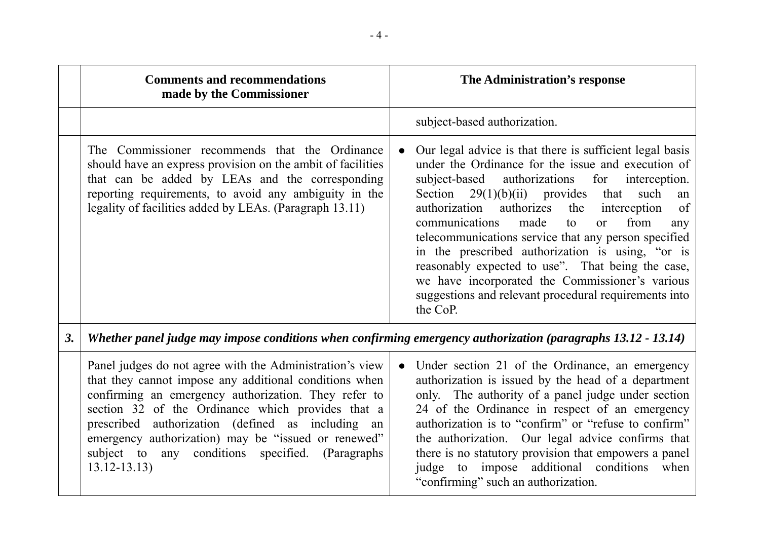|    | <b>Comments and recommendations</b><br>made by the Commissioner                                                                                                                                                                                                                                                                                                                                                        | The Administration's response                                                                                                                                                                                                                                                                                                                                                                                                                                                                                                                                                                                                                                   |
|----|------------------------------------------------------------------------------------------------------------------------------------------------------------------------------------------------------------------------------------------------------------------------------------------------------------------------------------------------------------------------------------------------------------------------|-----------------------------------------------------------------------------------------------------------------------------------------------------------------------------------------------------------------------------------------------------------------------------------------------------------------------------------------------------------------------------------------------------------------------------------------------------------------------------------------------------------------------------------------------------------------------------------------------------------------------------------------------------------------|
|    |                                                                                                                                                                                                                                                                                                                                                                                                                        | subject-based authorization.                                                                                                                                                                                                                                                                                                                                                                                                                                                                                                                                                                                                                                    |
|    | The Commissioner recommends that the Ordinance<br>should have an express provision on the ambit of facilities<br>that can be added by LEAs and the corresponding<br>reporting requirements, to avoid any ambiguity in the<br>legality of facilities added by LEAs. (Paragraph 13.11)                                                                                                                                   | Our legal advice is that there is sufficient legal basis<br>$\bullet$<br>under the Ordinance for the issue and execution of<br>authorizations<br>subject-based<br>for<br>interception.<br>Section $29(1)(b)(ii)$ provides<br>that<br>such<br>an<br>authorizes<br>of<br>authorization<br>interception<br>the<br>communications<br>made<br>from<br>to<br>$\alpha$<br>any<br>telecommunications service that any person specified<br>in the prescribed authorization is using, "or is<br>reasonably expected to use". That being the case,<br>we have incorporated the Commissioner's various<br>suggestions and relevant procedural requirements into<br>the CoP. |
| 3. | Whether panel judge may impose conditions when confirming emergency authorization (paragraphs 13.12 - 13.14)                                                                                                                                                                                                                                                                                                           |                                                                                                                                                                                                                                                                                                                                                                                                                                                                                                                                                                                                                                                                 |
|    | Panel judges do not agree with the Administration's view<br>that they cannot impose any additional conditions when<br>confirming an emergency authorization. They refer to<br>section 32 of the Ordinance which provides that a<br>prescribed authorization (defined as including an<br>emergency authorization) may be "issued or renewed"<br>subject to any conditions specified.<br>(Paragraphs)<br>$13.12 - 13.13$ | Under section 21 of the Ordinance, an emergency<br>$\bullet$<br>authorization is issued by the head of a department<br>only. The authority of a panel judge under section<br>24 of the Ordinance in respect of an emergency<br>authorization is to "confirm" or "refuse to confirm"<br>the authorization. Our legal advice confirms that<br>there is no statutory provision that empowers a panel<br>impose additional conditions<br>judge<br>to<br>when<br>"confirming" such an authorization.                                                                                                                                                                 |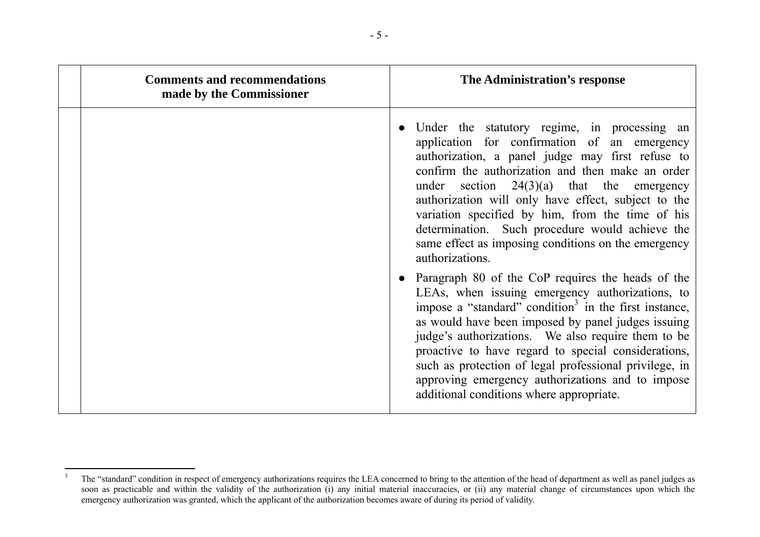| <b>Comments and recommendations</b><br>made by the Commissioner | The Administration's response                                                                                                                                                                                                                                                                                                                                                                                                                                                                          |
|-----------------------------------------------------------------|--------------------------------------------------------------------------------------------------------------------------------------------------------------------------------------------------------------------------------------------------------------------------------------------------------------------------------------------------------------------------------------------------------------------------------------------------------------------------------------------------------|
|                                                                 | Under the statutory regime, in processing an<br>application for confirmation of an emergency<br>authorization, a panel judge may first refuse to<br>confirm the authorization and then make an order<br>under section $24(3)(a)$ that the emergency<br>authorization will only have effect, subject to the<br>variation specified by him, from the time of his<br>determination. Such procedure would achieve the<br>same effect as imposing conditions on the emergency<br>authorizations.            |
|                                                                 | Paragraph 80 of the CoP requires the heads of the<br>LEAs, when issuing emergency authorizations, to<br>impose a "standard" condition <sup>3</sup> in the first instance,<br>as would have been imposed by panel judges issuing<br>judge's authorizations. We also require them to be<br>proactive to have regard to special considerations,<br>such as protection of legal professional privilege, in<br>approving emergency authorizations and to impose<br>additional conditions where appropriate. |

<sup>&</sup>lt;sup>3</sup> The "standard" condition in respect of emergency authorizations requires the LEA concerned to bring to the attention of the head of department as well as panel judges as soon as practicable and within the validity of the authorization (i) any initial material inaccuracies, or (ii) any material change of circumstances upon which the emergency authorization was granted, which the applicant of the authorization becomes aware of during its period of validity.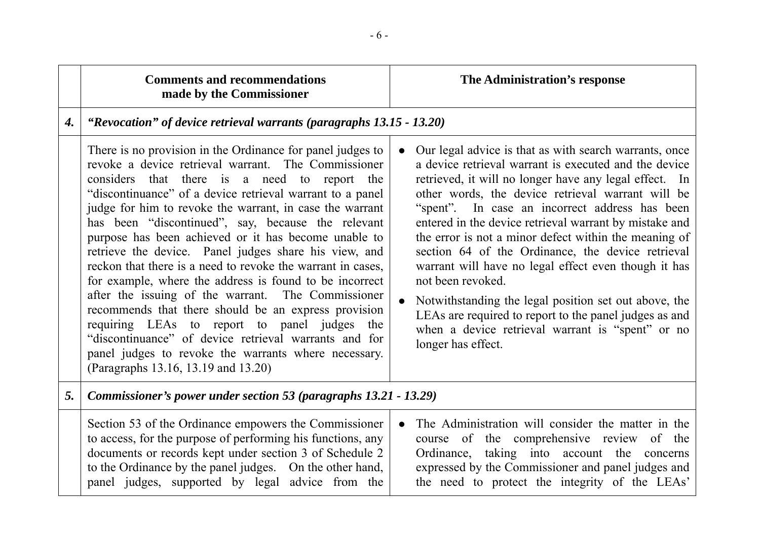|    | <b>Comments and recommendations</b><br>made by the Commissioner                                                                                                                                                                                                                                                                                                                                                                                                                                                                                                                                                                                                                                                                                                                                                                                                                                                   |                        | The Administration's response                                                                                                                                                                                                                                                                                                                                                                                                                                                                                                                                                                                                                                                                                                      |
|----|-------------------------------------------------------------------------------------------------------------------------------------------------------------------------------------------------------------------------------------------------------------------------------------------------------------------------------------------------------------------------------------------------------------------------------------------------------------------------------------------------------------------------------------------------------------------------------------------------------------------------------------------------------------------------------------------------------------------------------------------------------------------------------------------------------------------------------------------------------------------------------------------------------------------|------------------------|------------------------------------------------------------------------------------------------------------------------------------------------------------------------------------------------------------------------------------------------------------------------------------------------------------------------------------------------------------------------------------------------------------------------------------------------------------------------------------------------------------------------------------------------------------------------------------------------------------------------------------------------------------------------------------------------------------------------------------|
| 4. | "Revocation" of device retrieval warrants (paragraphs 13.15 - 13.20)                                                                                                                                                                                                                                                                                                                                                                                                                                                                                                                                                                                                                                                                                                                                                                                                                                              |                        |                                                                                                                                                                                                                                                                                                                                                                                                                                                                                                                                                                                                                                                                                                                                    |
|    | There is no provision in the Ordinance for panel judges to<br>revoke a device retrieval warrant. The Commissioner<br>considers that there is a need to report the<br>"discontinuance" of a device retrieval warrant to a panel<br>judge for him to revoke the warrant, in case the warrant<br>has been "discontinued", say, because the relevant<br>purpose has been achieved or it has become unable to<br>retrieve the device. Panel judges share his view, and<br>reckon that there is a need to revoke the warrant in cases,<br>for example, where the address is found to be incorrect<br>after the issuing of the warrant. The Commissioner<br>recommends that there should be an express provision<br>requiring LEAs to report to panel judges the<br>"discontinuance" of device retrieval warrants and for<br>panel judges to revoke the warrants where necessary.<br>(Paragraphs 13.16, 13.19 and 13.20) | $\bullet$<br>$\bullet$ | Our legal advice is that as with search warrants, once<br>a device retrieval warrant is executed and the device<br>retrieved, it will no longer have any legal effect. In<br>other words, the device retrieval warrant will be<br>"spent". In case an incorrect address has been<br>entered in the device retrieval warrant by mistake and<br>the error is not a minor defect within the meaning of<br>section 64 of the Ordinance, the device retrieval<br>warrant will have no legal effect even though it has<br>not been revoked.<br>Notwithstanding the legal position set out above, the<br>LEAs are required to report to the panel judges as and<br>when a device retrieval warrant is "spent" or no<br>longer has effect. |
| 5. | Commissioner's power under section 53 (paragraphs 13.21 - 13.29)                                                                                                                                                                                                                                                                                                                                                                                                                                                                                                                                                                                                                                                                                                                                                                                                                                                  |                        |                                                                                                                                                                                                                                                                                                                                                                                                                                                                                                                                                                                                                                                                                                                                    |
|    | Section 53 of the Ordinance empowers the Commissioner<br>to access, for the purpose of performing his functions, any<br>documents or records kept under section 3 of Schedule 2<br>to the Ordinance by the panel judges. On the other hand,<br>panel judges, supported by legal advice from the                                                                                                                                                                                                                                                                                                                                                                                                                                                                                                                                                                                                                   | $\bullet$              | The Administration will consider the matter in the<br>course of the comprehensive review of the<br>Ordinance, taking into account the concerns<br>expressed by the Commissioner and panel judges and<br>the need to protect the integrity of the LEAs'                                                                                                                                                                                                                                                                                                                                                                                                                                                                             |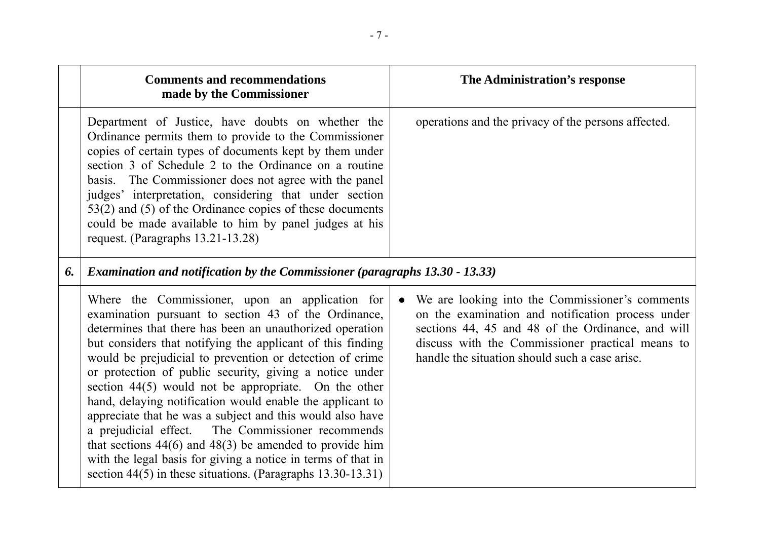|    | <b>Comments and recommendations</b><br>made by the Commissioner                                                                                                                                                                                                                                                                                                                                                                                                                                                                                                                                                                                                                                                                                                                                      | The Administration's response                                                                                                                                                                                                                                                |  |
|----|------------------------------------------------------------------------------------------------------------------------------------------------------------------------------------------------------------------------------------------------------------------------------------------------------------------------------------------------------------------------------------------------------------------------------------------------------------------------------------------------------------------------------------------------------------------------------------------------------------------------------------------------------------------------------------------------------------------------------------------------------------------------------------------------------|------------------------------------------------------------------------------------------------------------------------------------------------------------------------------------------------------------------------------------------------------------------------------|--|
|    | Department of Justice, have doubts on whether the<br>Ordinance permits them to provide to the Commissioner<br>copies of certain types of documents kept by them under<br>section 3 of Schedule 2 to the Ordinance on a routine<br>basis. The Commissioner does not agree with the panel<br>judges' interpretation, considering that under section<br>$53(2)$ and $(5)$ of the Ordinance copies of these documents<br>could be made available to him by panel judges at his<br>request. (Paragraphs 13.21-13.28)                                                                                                                                                                                                                                                                                      | operations and the privacy of the persons affected.                                                                                                                                                                                                                          |  |
| 6. | <b>Examination and notification by the Commissioner (paragraphs 13.30 - 13.33)</b>                                                                                                                                                                                                                                                                                                                                                                                                                                                                                                                                                                                                                                                                                                                   |                                                                                                                                                                                                                                                                              |  |
|    | Where the Commissioner, upon an application for<br>examination pursuant to section 43 of the Ordinance,<br>determines that there has been an unauthorized operation<br>but considers that notifying the applicant of this finding<br>would be prejudicial to prevention or detection of crime<br>or protection of public security, giving a notice under<br>section $44(5)$ would not be appropriate. On the other<br>hand, delaying notification would enable the applicant to<br>appreciate that he was a subject and this would also have<br>a prejudicial effect. The Commissioner recommends<br>that sections $44(6)$ and $48(3)$ be amended to provide him<br>with the legal basis for giving a notice in terms of that in<br>section $44(5)$ in these situations. (Paragraphs $13.30-13.31$ ) | We are looking into the Commissioner's comments<br>$\bullet$<br>on the examination and notification process under<br>sections 44, 45 and 48 of the Ordinance, and will<br>discuss with the Commissioner practical means to<br>handle the situation should such a case arise. |  |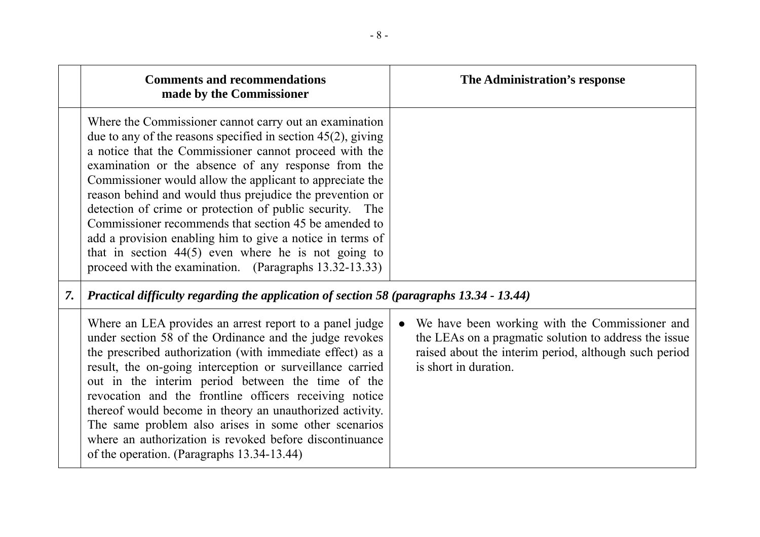|    | <b>Comments and recommendations</b><br>made by the Commissioner                                                                                                                                                                                                                                                                                                                                                                                                                                                                                                                                                                                                         | The Administration's response                                                                                                                                                                          |
|----|-------------------------------------------------------------------------------------------------------------------------------------------------------------------------------------------------------------------------------------------------------------------------------------------------------------------------------------------------------------------------------------------------------------------------------------------------------------------------------------------------------------------------------------------------------------------------------------------------------------------------------------------------------------------------|--------------------------------------------------------------------------------------------------------------------------------------------------------------------------------------------------------|
|    | Where the Commissioner cannot carry out an examination<br>due to any of the reasons specified in section $45(2)$ , giving<br>a notice that the Commissioner cannot proceed with the<br>examination or the absence of any response from the<br>Commissioner would allow the applicant to appreciate the<br>reason behind and would thus prejudice the prevention or<br>detection of crime or protection of public security. The<br>Commissioner recommends that section 45 be amended to<br>add a provision enabling him to give a notice in terms of<br>that in section $44(5)$ even where he is not going to<br>proceed with the examination. (Paragraphs 13.32-13.33) |                                                                                                                                                                                                        |
| 7. | Practical difficulty regarding the application of section 58 (paragraphs 13.34 - 13.44)                                                                                                                                                                                                                                                                                                                                                                                                                                                                                                                                                                                 |                                                                                                                                                                                                        |
|    | Where an LEA provides an arrest report to a panel judge<br>under section 58 of the Ordinance and the judge revokes<br>the prescribed authorization (with immediate effect) as a<br>result, the on-going interception or surveillance carried<br>out in the interim period between the time of the<br>revocation and the frontline officers receiving notice<br>thereof would become in theory an unauthorized activity.<br>The same problem also arises in some other scenarios<br>where an authorization is revoked before discontinuance<br>of the operation. (Paragraphs 13.34-13.44)                                                                                | We have been working with the Commissioner and<br>$\bullet$<br>the LEAs on a pragmatic solution to address the issue<br>raised about the interim period, although such period<br>is short in duration. |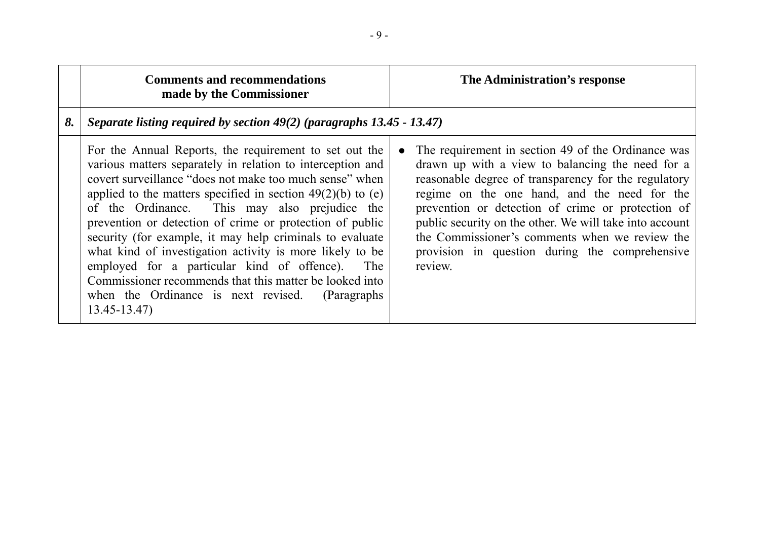|    | <b>Comments and recommendations</b><br>made by the Commissioner                                                                                                                                                                                                                                                                                                                                                                                                                                                                                                                                                                                                              |           | The Administration's response                                                                                                                                                                                                                                                                                                                                                                                                                 |
|----|------------------------------------------------------------------------------------------------------------------------------------------------------------------------------------------------------------------------------------------------------------------------------------------------------------------------------------------------------------------------------------------------------------------------------------------------------------------------------------------------------------------------------------------------------------------------------------------------------------------------------------------------------------------------------|-----------|-----------------------------------------------------------------------------------------------------------------------------------------------------------------------------------------------------------------------------------------------------------------------------------------------------------------------------------------------------------------------------------------------------------------------------------------------|
| 8. | Separate listing required by section $49(2)$ (paragraphs 13.45 - 13.47)                                                                                                                                                                                                                                                                                                                                                                                                                                                                                                                                                                                                      |           |                                                                                                                                                                                                                                                                                                                                                                                                                                               |
|    | For the Annual Reports, the requirement to set out the<br>various matters separately in relation to interception and<br>covert surveillance "does not make too much sense" when<br>applied to the matters specified in section $49(2)(b)$ to (e)<br>of the Ordinance. This may also prejudice the<br>prevention or detection of crime or protection of public<br>security (for example, it may help criminals to evaluate<br>what kind of investigation activity is more likely to be<br>employed for a particular kind of offence).<br>The<br>Commissioner recommends that this matter be looked into<br>when the Ordinance is next revised. (Paragraphs<br>$13.45 - 13.47$ | $\bullet$ | The requirement in section 49 of the Ordinance was<br>drawn up with a view to balancing the need for a<br>reasonable degree of transparency for the regulatory<br>regime on the one hand, and the need for the<br>prevention or detection of crime or protection of<br>public security on the other. We will take into account<br>the Commissioner's comments when we review the<br>provision in question during the comprehensive<br>review. |